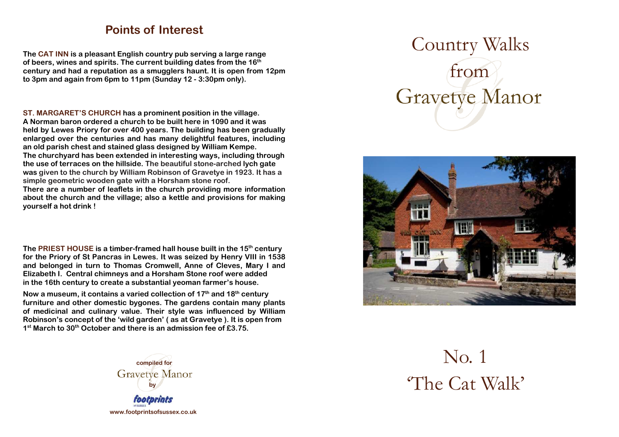## **Points of Interest**

**The CAT INN is a pleasant English country pub serving a large range of beers, wines and spirits. The current building dates from the 16th century and had a reputation as a smugglers haunt. It is open from 12pm to 3pm and again from 6pm to 11pm (Sunday 12 - 3:30pm only).** 

**ST. MARGARET'S CHURCH has a prominent position in the village. A Norman baron ordered a church to be built here in 1090 and it was held by Lewes Priory for over 400 years. The building has been gradually enlarged over the centuries and has many delightful features, including an old parish chest and stained glass designed by William Kempe. The churchyard has been extended in interesting ways, including through the use of terraces on the hillside. The beautiful stone-arched lych gate was given to the church by William Robinson of Gravetye in 1923. It has a simple geometric wooden gate with a Horsham stone roof.** 

 **There are a number of leaflets in the church providing more information about the church and the village; also a kettle and provisions for making yourself a hot drink !** 

**The PRIEST HOUSE is a timber-framed hall house built in the 15th century for the Priory of St Pancras in Lewes. It was seized by Henry VIII in 1538 and belonged in turn to Thomas Cromwell, Anne of Cleves, Mary I and Elizabeth I. Central chimneys and a Horsham Stone roof were added in the 16th century to create a substantial yeoman farmer's house.** 

**Now a museum, it contains a varied collection of 17th and 18th century furniture and other domestic bygones. The gardens contain many plants of medicinal and culinary value. Their style was influenced by William Robinson's concept of the 'wild garden' ( as at Gravetye ). It is open from 1st March to 30th October and there is an admission fee of £3.75.** 



 Country Walks from **Gravetye Manor** 



No. 1 'The Cat Walk'